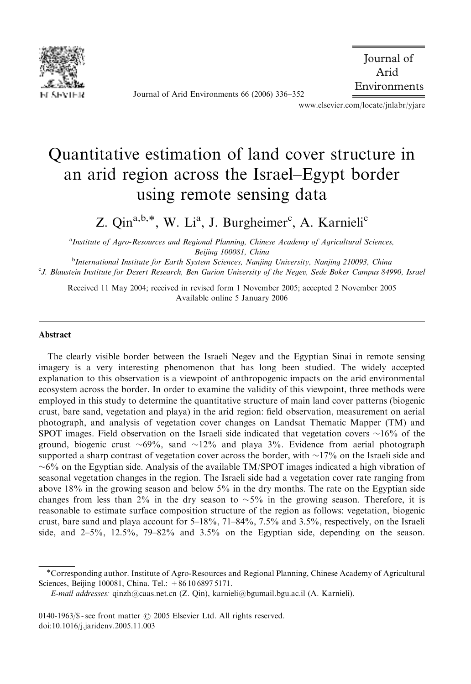

Journal of Arid Environments 66 (2006) 336–352

 Journal of Arid Environments

www.elsevier.com/locate/jnlabr/yjare

# Quantitative estimation of land cover structure in an arid region across the Israel–Egypt border using remote sensing data

Z. Qin<sup>a,b,\*</sup>, W. Li<sup>a</sup>, J. Burgheimer<sup>c</sup>, A. Karnieli<sup>c</sup>

a *Institute of Agro-Resources and Regional Planning, Chinese Academy of Agricultural Sciences, Beijing 100081, China*

b *International Institute for Earth System Sciences, Nanjing University, Nanjing 210093, China* c *J. Blaustein Institute for Desert Research, Ben Gurion University of the Negev, Sede Boker Campus 84990, Israel*

Received 11 May 2004; received in revised form 1 November 2005; accepted 2 November 2005 Available online 5 January 2006

#### Abstract

The clearly visible border between the Israeli Negev and the Egyptian Sinai in remote sensing imagery is a very interesting phenomenon that has long been studied. The widely accepted explanation to this observation is a viewpoint of anthropogenic impacts on the arid environmental ecosystem across the border. In order to examine the validity of this viewpoint, three methods were employed in this study to determine the quantitative structure of main land cover patterns (biogenic crust, bare sand, vegetation and playa) in the arid region: field observation, measurement on aerial photograph, and analysis of vegetation cover changes on Landsat Thematic Mapper (TM) and SPOT images. Field observation on the Israeli side indicated that vegetation covers  $\sim$ 16% of the ground, biogenic crust  $\sim 69\%$ , sand  $\sim 12\%$  and playa 3%. Evidence from aerial photograph supported a sharp contrast of vegetation cover across the border, with  $\sim$ 17% on the Israeli side and  $\sim$ 6% on the Egyptian side. Analysis of the available TM/SPOT images indicated a high vibration of seasonal vegetation changes in the region. The Israeli side had a vegetation cover rate ranging from above 18% in the growing season and below 5% in the dry months. The rate on the Egyptian side changes from less than 2% in the dry season to  $\sim 5\%$  in the growing season. Therefore, it is reasonable to estimate surface composition structure of the region as follows: vegetation, biogenic crust, bare sand and playa account for 5–18%, 71–84%, 7.5% and 3.5%, respectively, on the Israeli side, and  $2-5\%$ ,  $12.5\%$ ,  $79-82\%$  and  $3.5\%$  on the Egyptian side, depending on the season.

0140-1963/\$ - see front matter  $\odot$  2005 Elsevier Ltd. All rights reserved. doi:10.1016/j.jaridenv.2005.11.003

Corresponding author. Institute of Agro-Resources and Regional Planning, Chinese Academy of Agricultural Sciences, Beijing 100081, China. Tel.: +86 10 6897 5171.

*E-mail addresses:* qinzh@caas.net.cn (Z. Qin), karnieli@bgumail.bgu.ac.il (A. Karnieli).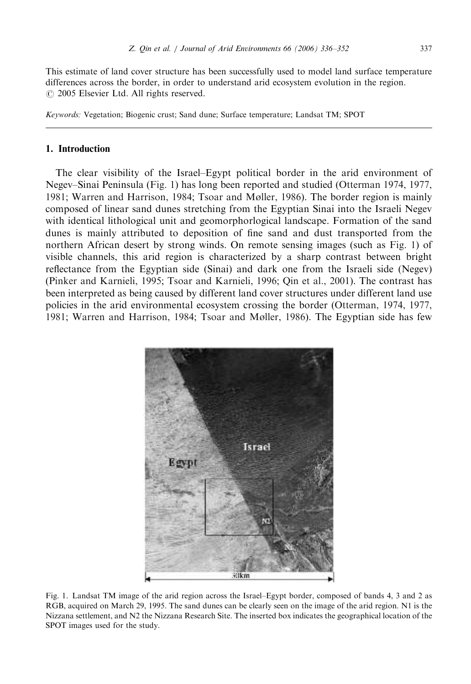This estimate of land cover structure has been successfully used to model land surface temperature differences across the border, in order to understand arid ecosystem evolution in the region.  $\odot$  2005 Elsevier Ltd. All rights reserved.

*Keywords:* Vegetation; Biogenic crust; Sand dune; Surface temperature; Landsat TM; SPOT

# 1. Introduction

The clear visibility of the Israel–Egypt political border in the arid environment of Negev–Sinai Peninsula (Fig. 1) has long been reported and studied (Otterman 1974, 1977, 1981; Warren and Harrison, 1984; Tsoar and Møller, 1986). The border region is mainly composed of linear sand dunes stretching from the Egyptian Sinai into the Israeli Negev with identical lithological unit and geomorphorlogical landscape. Formation of the sand dunes is mainly attributed to deposition of fine sand and dust transported from the northern African desert by strong winds. On remote sensing images (such as Fig. 1) of visible channels, this arid region is characterized by a sharp contrast between bright reflectance from the Egyptian side (Sinai) and dark one from the Israeli side (Negev) (Pinker and Karnieli, 1995; Tsoar and Karnieli, 1996; Qin et al., 2001). The contrast has been interpreted as being caused by different land cover structures under different land use policies in the arid environmental ecosystem crossing the border (Otterman, 1974, 1977, 1981; Warren and Harrison, 1984; Tsoar and Møller, 1986). The Egyptian side has few



Fig. 1. Landsat TM image of the arid region across the Israel–Egypt border, composed of bands 4, 3 and 2 as RGB, acquired on March 29, 1995. The sand dunes can be clearly seen on the image of the arid region. N1 is the Nizzana settlement, and N2 the Nizzana Research Site. The inserted box indicates the geographical location of the SPOT images used for the study.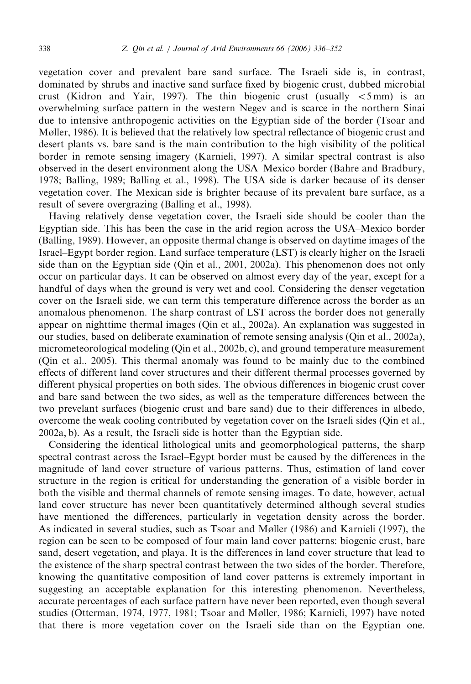vegetation cover and prevalent bare sand surface. The Israeli side is, in contrast, dominated by shrubs and inactive sand surface fixed by biogenic crust, dubbed microbial crust (Kidron and Yair, 1997). The thin biogenic crust (usually  $\lt 5 \text{ mm}$ ) is an overwhelming surface pattern in the western Negev and is scarce in the northern Sinai due to intensive anthropogenic activities on the Egyptian side of the border (Tsoar and Møller, 1986). It is believed that the relatively low spectral reflectance of biogenic crust and desert plants vs. bare sand is the main contribution to the high visibility of the political border in remote sensing imagery (Karnieli, 1997). A similar spectral contrast is also observed in the desert environment along the USA–Mexico border (Bahre and Bradbury, 1978; Balling, 1989; Balling et al., 1998). The USA side is darker because of its denser vegetation cover. The Mexican side is brighter because of its prevalent bare surface, as a result of severe overgrazing (Balling et al., 1998).

Having relatively dense vegetation cover, the Israeli side should be cooler than the Egyptian side. This has been the case in the arid region across the USA–Mexico border (Balling, 1989). However, an opposite thermal change is observed on daytime images of the Israel–Egypt border region. Land surface temperature (LST) is clearly higher on the Israeli side than on the Egyptian side (Qin et al., 2001, 2002a). This phenomenon does not only occur on particular days. It can be observed on almost every day of the year, except for a handful of days when the ground is very wet and cool. Considering the denser vegetation cover on the Israeli side, we can term this temperature difference across the border as an anomalous phenomenon. The sharp contrast of LST across the border does not generally appear on nighttime thermal images (Qin et al., 2002a). An explanation was suggested in our studies, based on deliberate examination of remote sensing analysis (Qin et al., 2002a), micrometeorological modeling (Qin et al., 2002b, c), and ground temperature measurement (Qin et al., 2005). This thermal anomaly was found to be mainly due to the combined effects of different land cover structures and their different thermal processes governed by different physical properties on both sides. The obvious differences in biogenic crust cover and bare sand between the two sides, as well as the temperature differences between the two prevelant surfaces (biogenic crust and bare sand) due to their differences in albedo, overcome the weak cooling contributed by vegetation cover on the Israeli sides (Qin et al., 2002a, b). As a result, the Israeli side is hotter than the Egyptian side.

Considering the identical lithological units and geomorphological patterns, the sharp spectral contrast across the Israel–Egypt border must be caused by the differences in the magnitude of land cover structure of various patterns. Thus, estimation of land cover structure in the region is critical for understanding the generation of a visible border in both the visible and thermal channels of remote sensing images. To date, however, actual land cover structure has never been quantitatively determined although several studies have mentioned the differences, particularly in vegetation density across the border. As indicated in several studies, such as Tsoar and Møller (1986) and Karnieli (1997), the region can be seen to be composed of four main land cover patterns: biogenic crust, bare sand, desert vegetation, and playa. It is the differences in land cover structure that lead to the existence of the sharp spectral contrast between the two sides of the border. Therefore, knowing the quantitative composition of land cover patterns is extremely important in suggesting an acceptable explanation for this interesting phenomenon. Nevertheless, accurate percentages of each surface pattern have never been reported, even though several studies (Otterman, 1974, 1977, 1981; Tsoar and Møller, 1986; Karnieli, 1997) have noted that there is more vegetation cover on the Israeli side than on the Egyptian one.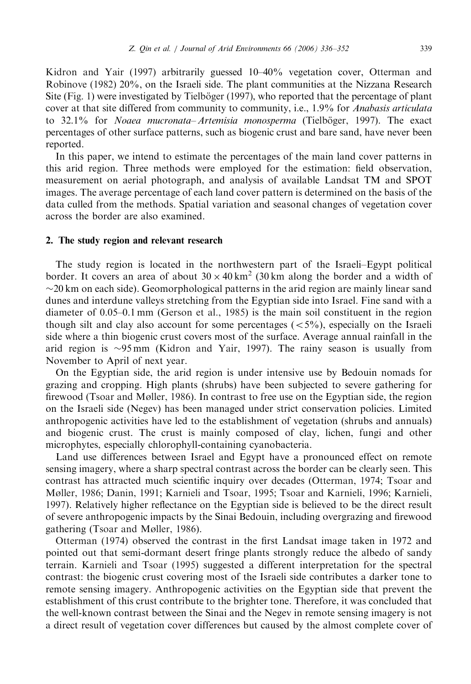Kidron and Yair (1997) arbitrarily guessed 10–40% vegetation cover, Otterman and Robinove (1982) 20%, on the Israeli side. The plant communities at the Nizzana Research Site (Fig. 1) were investigated by Tielböger (1997), who reported that the percentage of plant cover at that site differed from community to community, i.e., 1.9% for *Anabasis articulata* to 32.1% for *Noaea mucronata– Artemisia monosperma* (Tielböger, 1997). The exact percentages of other surface patterns, such as biogenic crust and bare sand, have never been reported.

In this paper, we intend to estimate the percentages of the main land cover patterns in this arid region. Three methods were employed for the estimation: field observation, measurement on aerial photograph, and analysis of available Landsat TM and SPOT images. The average percentage of each land cover pattern is determined on the basis of the data culled from the methods. Spatial variation and seasonal changes of vegetation cover across the border are also examined.

## 2. The study region and relevant research

The study region is located in the northwestern part of the Israeli–Egypt political border. It covers an area of about  $30 \times 40 \text{ km}^2$  (30 km along the border and a width of  $\sim$ 20 km on each side). Geomorphological patterns in the arid region are mainly linear sand dunes and interdune valleys stretching from the Egyptian side into Israel. Fine sand with a diameter of 0.05–0.1 mm (Gerson et al., 1985) is the main soil constituent in the region though silt and clay also account for some percentages ( $\langle 5\%$ ), especially on the Israeli side where a thin biogenic crust covers most of the surface. Average annual rainfall in the arid region is  $\sim$ 95 mm (Kidron and Yair, 1997). The rainy season is usually from November to April of next year.

On the Egyptian side, the arid region is under intensive use by Bedouin nomads for grazing and cropping. High plants (shrubs) have been subjected to severe gathering for firewood (Tsoar and Møller, 1986). In contrast to free use on the Egyptian side, the region on the Israeli side (Negev) has been managed under strict conservation policies. Limited anthropogenic activities have led to the establishment of vegetation (shrubs and annuals) and biogenic crust. The crust is mainly composed of clay, lichen, fungi and other microphytes, especially chlorophyll-containing cyanobacteria.

Land use differences between Israel and Egypt have a pronounced effect on remote sensing imagery, where a sharp spectral contrast across the border can be clearly seen. This contrast has attracted much scientific inquiry over decades (Otterman, 1974; Tsoar and Møller, 1986; Danin, 1991; Karnieli and Tsoar, 1995; Tsoar and Karnieli, 1996; Karnieli, 1997). Relatively higher reflectance on the Egyptian side is believed to be the direct result of severe anthropogenic impacts by the Sinai Bedouin, including overgrazing and firewood gathering (Tsoar and Møller, 1986).

Otterman (1974) observed the contrast in the first Landsat image taken in 1972 and pointed out that semi-dormant desert fringe plants strongly reduce the albedo of sandy terrain. Karnieli and Tsoar (1995) suggested a different interpretation for the spectral contrast: the biogenic crust covering most of the Israeli side contributes a darker tone to remote sensing imagery. Anthropogenic activities on the Egyptian side that prevent the establishment of this crust contribute to the brighter tone. Therefore, it was concluded that the well-known contrast between the Sinai and the Negev in remote sensing imagery is not a direct result of vegetation cover differences but caused by the almost complete cover of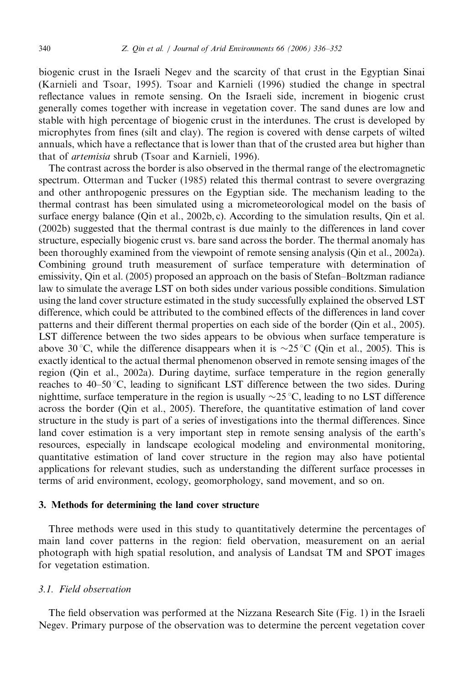biogenic crust in the Israeli Negev and the scarcity of that crust in the Egyptian Sinai (Karnieli and Tsoar, 1995). Tsoar and Karnieli (1996) studied the change in spectral reflectance values in remote sensing. On the Israeli side, increment in biogenic crust generally comes together with increase in vegetation cover. The sand dunes are low and stable with high percentage of biogenic crust in the interdunes. The crust is developed by microphytes from fines (silt and clay). The region is covered with dense carpets of wilted annuals, which have a reflectance that is lower than that of the crusted area but higher than that of *artemisia* shrub (Tsoar and Karnieli, 1996).

The contrast across the border is also observed in the thermal range of the electromagnetic spectrum. Otterman and Tucker (1985) related this thermal contrast to severe overgrazing and other anthropogenic pressures on the Egyptian side. The mechanism leading to the thermal contrast has been simulated using a micrometeorological model on the basis of surface energy balance (Qin et al., 2002b, c). According to the simulation results, Qin et al. (2002b) suggested that the thermal contrast is due mainly to the differences in land cover structure, especially biogenic crust vs. bare sand across the border. The thermal anomaly has been thoroughly examined from the viewpoint of remote sensing analysis (Qin et al., 2002a). Combining ground truth measurement of surface temperature with determination of emissivity, Qin et al. (2005) proposed an approach on the basis of Stefan–Boltzman radiance law to simulate the average LST on both sides under various possible conditions. Simulation using the land cover structure estimated in the study successfully explained the observed LST difference, which could be attributed to the combined effects of the differences in land cover patterns and their different thermal properties on each side of the border (Qin et al., 2005). LST difference between the two sides appears to be obvious when surface temperature is above 30 °C, while the difference disappears when it is  $\sim$ 25 °C (Qin et al., 2005). This is exactly identical to the actual thermal phenomenon observed in remote sensing images of the region (Qin et al., 2002a). During daytime, surface temperature in the region generally reaches to  $40-50$  °C, leading to significant LST difference between the two sides. During nighttime, surface temperature in the region is usually  $\sim$ 25 °C, leading to no LST difference across the border (Qin et al., 2005). Therefore, the quantitative estimation of land cover structure in the study is part of a series of investigations into the thermal differences. Since land cover estimation is a very important step in remote sensing analysis of the earth's resources, especially in landscape ecological modeling and environmental monitoring, quantitative estimation of land cover structure in the region may also have potiental applications for relevant studies, such as understanding the different surface processes in terms of arid environment, ecology, geomorphology, sand movement, and so on.

# 3. Methods for determining the land cover structure

Three methods were used in this study to quantitatively determine the percentages of main land cover patterns in the region: field obervation, measurement on an aerial photograph with high spatial resolution, and analysis of Landsat TM and SPOT images for vegetation estimation.

# *3.1. Field observation*

The field observation was performed at the Nizzana Research Site (Fig. 1) in the Israeli Negev. Primary purpose of the observation was to determine the percent vegetation cover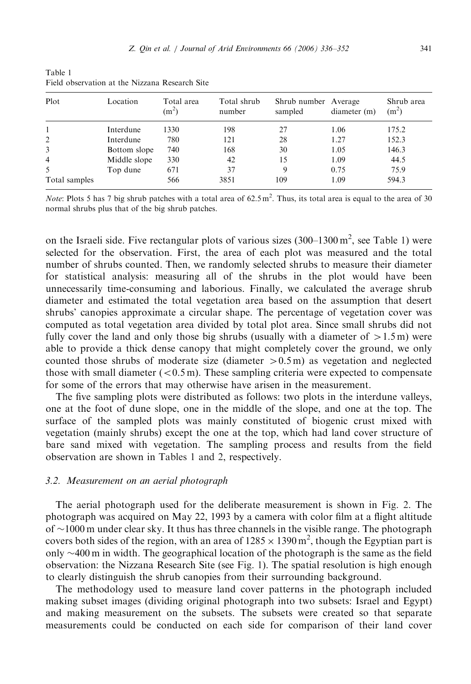| Plot           | Location     | Total area<br>$(m^2)$ | Total shrub<br>number | Shrub number Average<br>sampled | diameter (m) | Shrub area<br>(m <sup>2</sup> ) |
|----------------|--------------|-----------------------|-----------------------|---------------------------------|--------------|---------------------------------|
|                | Interdune    | 1330                  | 198                   | 27                              | 1.06         | 175.2                           |
| 2              | Interdune    | 780                   | 121                   | 28                              | 1.27         | 152.3                           |
| 3              | Bottom slope | 740                   | 168                   | 30                              | 1.05         | 146.3                           |
| $\overline{4}$ | Middle slope | 330                   | 42                    | 15                              | 1.09         | 44.5                            |
| 5              | Top dune     | 671                   | 37                    | 9                               | 0.75         | 75.9                            |
| Total samples  |              | 566                   | 3851                  | 109                             | 1.09         | 594.3                           |

Table 1 Field observation at the Nizzana Research Site

*Note*: Plots 5 has 7 big shrub patches with a total area of 62.5 m<sup>2</sup>. Thus, its total area is equal to the area of 30 normal shrubs plus that of the big shrub patches.

on the Israeli side. Five rectangular plots of various sizes  $(300-1300 \text{ m}^2, \text{see } \text{Table } 1)$  were selected for the observation. First, the area of each plot was measured and the total number of shrubs counted. Then, we randomly selected shrubs to measure their diameter for statistical analysis: measuring all of the shrubs in the plot would have been unnecessarily time-consuming and laborious. Finally, we calculated the average shrub diameter and estimated the total vegetation area based on the assumption that desert shrubs' canopies approximate a circular shape. The percentage of vegetation cover was computed as total vegetation area divided by total plot area. Since small shrubs did not fully cover the land and only those big shrubs (usually with a diameter of  $>1.5$  m) were able to provide a thick dense canopy that might completely cover the ground, we only counted those shrubs of moderate size (diameter  $> 0.5$  m) as vegetation and neglected those with small diameter  $( $0.5$  m). These sampling criteria were expected to compensate$ for some of the errors that may otherwise have arisen in the measurement.

The five sampling plots were distributed as follows: two plots in the interdune valleys, one at the foot of dune slope, one in the middle of the slope, and one at the top. The surface of the sampled plots was mainly constituted of biogenic crust mixed with vegetation (mainly shrubs) except the one at the top, which had land cover structure of bare sand mixed with vegetation. The sampling process and results from the field observation are shown in Tables 1 and 2, respectively.

## *3.2. Measurement on an aerial photograph*

The aerial photograph used for the deliberate measurement is shown in Fig. 2. The photograph was acquired on May 22, 1993 by a camera with color film at a flight altitude of  $\sim$ 1000 m under clear sky. It thus has three channels in the visible range. The photograph covers both sides of the region, with an area of  $1285 \times 1390 \,\text{m}^2$ , though the Egyptian part is only  $\sim$ 400 m in width. The geographical location of the photograph is the same as the field observation: the Nizzana Research Site (see Fig. 1). The spatial resolution is high enough to clearly distinguish the shrub canopies from their surrounding background.

The methodology used to measure land cover patterns in the photograph included making subset images (dividing original photograph into two subsets: Israel and Egypt) and making measurement on the subsets. The subsets were created so that separate measurements could be conducted on each side for comparison of their land cover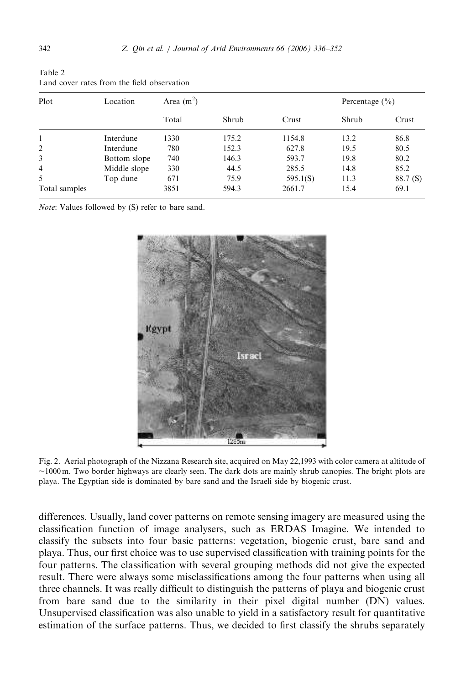| Plot           | Location     | Area $(m^2)$ |       |          | Percentage $(\% )$ |          |
|----------------|--------------|--------------|-------|----------|--------------------|----------|
|                |              | Total        | Shrub | Crust    | Shrub              | Crust    |
|                | Interdune    | 1330         | 175.2 | 1154.8   | 13.2               | 86.8     |
| 2              | Interdune    | 780          | 152.3 | 627.8    | 19.5               | 80.5     |
| 3              | Bottom slope | 740          | 146.3 | 593.7    | 19.8               | 80.2     |
| $\overline{4}$ | Middle slope | 330          | 44.5  | 285.5    | 14.8               | 85.2     |
| 5              | Top dune     | 671          | 75.9  | 595.1(S) | 11.3               | 88.7 (S) |
| Total samples  |              | 3851         | 594.3 | 2661.7   | 15.4               | 69.1     |

Table 2 Land cover rates from the field observation

*Note*: Values followed by (S) refer to bare sand.



Fig. 2. Aerial photograph of the Nizzana Research site, acquired on May 22,1993 with color camera at altitude of  $\sim$ 1000 m. Two border highways are clearly seen. The dark dots are mainly shrub canopies. The bright plots are playa. The Egyptian side is dominated by bare sand and the Israeli side by biogenic crust.

differences. Usually, land cover patterns on remote sensing imagery are measured using the classification function of image analysers, such as ERDAS Imagine. We intended to classify the subsets into four basic patterns: vegetation, biogenic crust, bare sand and playa. Thus, our first choice was to use supervised classification with training points for the four patterns. The classification with several grouping methods did not give the expected result. There were always some misclassifications among the four patterns when using all three channels. It was really difficult to distinguish the patterns of playa and biogenic crust from bare sand due to the similarity in their pixel digital number (DN) values. Unsupervised classification was also unable to yield in a satisfactory result for quantitative estimation of the surface patterns. Thus, we decided to first classify the shrubs separately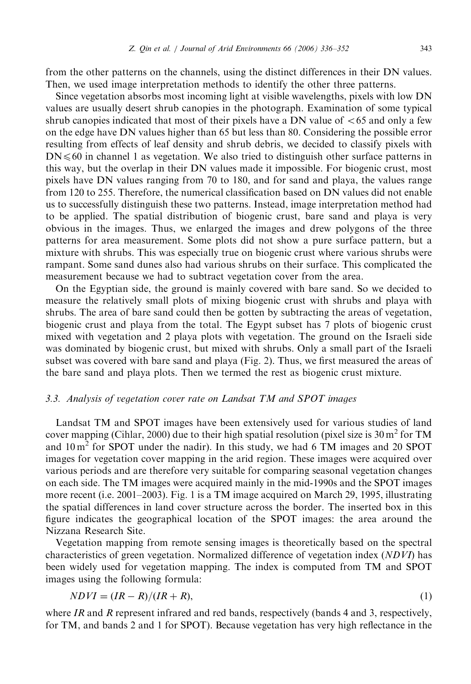from the other patterns on the channels, using the distinct differences in their DN values. Then, we used image interpretation methods to identify the other three patterns.

Since vegetation absorbs most incoming light at visible wavelengths, pixels with low DN values are usually desert shrub canopies in the photograph. Examination of some typical shrub canopies indicated that most of their pixels have a DN value of  $\lt 65$  and only a few on the edge have DN values higher than 65 but less than 80. Considering the possible error resulting from effects of leaf density and shrub debris, we decided to classify pixels with  $DN \leq 60$  in channel 1 as vegetation. We also tried to distinguish other surface patterns in this way, but the overlap in their DN values made it impossible. For biogenic crust, most pixels have DN values ranging from 70 to 180, and for sand and playa, the values range from 120 to 255. Therefore, the numerical classification based on DN values did not enable us to successfully distinguish these two patterns. Instead, image interpretation method had to be applied. The spatial distribution of biogenic crust, bare sand and playa is very obvious in the images. Thus, we enlarged the images and drew polygons of the three patterns for area measurement. Some plots did not show a pure surface pattern, but a mixture with shrubs. This was especially true on biogenic crust where various shrubs were rampant. Some sand dunes also had various shrubs on their surface. This complicated the measurement because we had to subtract vegetation cover from the area.

On the Egyptian side, the ground is mainly covered with bare sand. So we decided to measure the relatively small plots of mixing biogenic crust with shrubs and playa with shrubs. The area of bare sand could then be gotten by subtracting the areas of vegetation, biogenic crust and playa from the total. The Egypt subset has 7 plots of biogenic crust mixed with vegetation and 2 playa plots with vegetation. The ground on the Israeli side was dominated by biogenic crust, but mixed with shrubs. Only a small part of the Israeli subset was covered with bare sand and playa (Fig. 2). Thus, we first measured the areas of the bare sand and playa plots. Then we termed the rest as biogenic crust mixture.

## *3.3. Analysis of vegetation cover rate on Landsat TM and SPOT images*

Landsat TM and SPOT images have been extensively used for various studies of land cover mapping (Cihlar, 2000) due to their high spatial resolution (pixel size is  $30 \text{ m}^2$  for TM and  $10 \text{ m}^2$  for SPOT under the nadir). In this study, we had 6 TM images and 20 SPOT images for vegetation cover mapping in the arid region. These images were acquired over various periods and are therefore very suitable for comparing seasonal vegetation changes on each side. The TM images were acquired mainly in the mid-1990s and the SPOT images more recent (i.e. 2001–2003). Fig. 1 is a TM image acquired on March 29, 1995, illustrating the spatial differences in land cover structure across the border. The inserted box in this figure indicates the geographical location of the SPOT images: the area around the Nizzana Research Site.

Vegetation mapping from remote sensing images is theoretically based on the spectral characteristics of green vegetation. Normalized difference of vegetation index (*NDVI*) has been widely used for vegetation mapping. The index is computed from TM and SPOT images using the following formula:

$$
NDVI = (IR - R)/(IR + R),\tag{1}
$$

where *IR* and *R* represent infrared and red bands, respectively (bands 4 and 3, respectively, for TM, and bands 2 and 1 for SPOT). Because vegetation has very high reflectance in the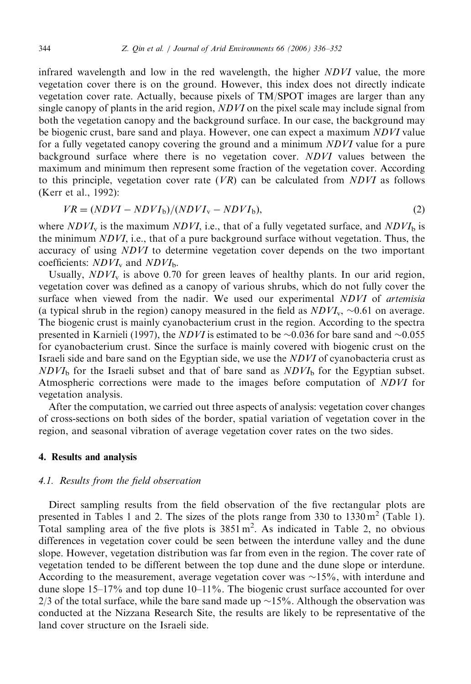infrared wavelength and low in the red wavelength, the higher *NDVI* value, the more vegetation cover there is on the ground. However, this index does not directly indicate vegetation cover rate. Actually, because pixels of TM/SPOT images are larger than any single canopy of plants in the arid region, *NDVI* on the pixel scale may include signal from both the vegetation canopy and the background surface. In our case, the background may be biogenic crust, bare sand and playa. However, one can expect a maximum *NDVI* value for a fully vegetated canopy covering the ground and a minimum *NDVI* value for a pure background surface where there is no vegetation cover. *NDVI* values between the maximum and minimum then represent some fraction of the vegetation cover. According to this principle, vegetation cover rate (*VR*) can be calculated from *NDVI* as follows (Kerr et al., 1992):

$$
VR = (NDVI - NDVIb)/(NDVIv - NDVIb),
$$
\n(2)

where  $NDVI<sub>v</sub>$  is the maximum *NDVI*, i.e., that of a fully vegetated surface, and  $NDVI<sub>b</sub>$  is the minimum *NDVI*, i.e., that of a pure background surface without vegetation. Thus, the accuracy of using *NDVI* to determine vegetation cover depends on the two important coefficients:  $NDVI<sub>v</sub>$  and  $NDVI<sub>b</sub>$ .

Usually,  $NDVI$ <sub>v</sub> is above 0.70 for green leaves of healthy plants. In our arid region, vegetation cover was defined as a canopy of various shrubs, which do not fully cover the surface when viewed from the nadir. We used our experimental *NDVI* of *artemisia* (a typical shrub in the region) canopy measured in the field as  $NDVI<sub>v</sub>$ ,  $\sim 0.61$  on average. The biogenic crust is mainly cyanobacterium crust in the region. According to the spectra presented in Karnieli (1997), the *NDVI* is estimated to be  $\sim 0.036$  for bare sand and  $\sim 0.055$ for cyanobacterium crust. Since the surface is mainly covered with biogenic crust on the Israeli side and bare sand on the Egyptian side, we use the *NDVI* of cyanobacteria crust as  $NDVI<sub>b</sub>$  for the Israeli subset and that of bare sand as  $NDVI<sub>b</sub>$  for the Egyptian subset. Atmospheric corrections were made to the images before computation of *NDVI* for vegetation analysis.

After the computation, we carried out three aspects of analysis: vegetation cover changes of cross-sections on both sides of the border, spatial variation of vegetation cover in the region, and seasonal vibration of average vegetation cover rates on the two sides.

# 4. Results and analysis

## *4.1. Results from the field observation*

Direct sampling results from the field observation of the five rectangular plots are presented in Tables 1 and 2. The sizes of the plots range from 330 to  $1330 \text{ m}^2$  (Table 1). Total sampling area of the five plots is  $3851 \text{ m}^2$ . As indicated in Table 2, no obvious differences in vegetation cover could be seen between the interdune valley and the dune slope. However, vegetation distribution was far from even in the region. The cover rate of vegetation tended to be different between the top dune and the dune slope or interdune. According to the measurement, average vegetation cover was  $\sim$ 15%, with interdune and dune slope 15–17% and top dune 10–11%. The biogenic crust surface accounted for over  $2/3$  of the total surface, while the bare sand made up  $\sim$  15%. Although the observation was conducted at the Nizzana Research Site, the results are likely to be representative of the land cover structure on the Israeli side.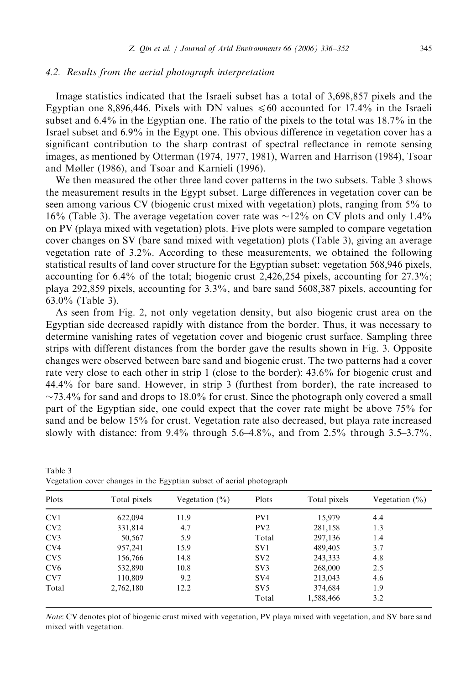#### *4.2. Results from the aerial photograph interpretation*

Image statistics indicated that the Israeli subset has a total of 3,698,857 pixels and the Egyptian one 8,896,446. Pixels with DN values  $\leq 60$  accounted for 17.4% in the Israeli subset and 6.4% in the Egyptian one. The ratio of the pixels to the total was 18.7% in the Israel subset and 6.9% in the Egypt one. This obvious difference in vegetation cover has a significant contribution to the sharp contrast of spectral reflectance in remote sensing images, as mentioned by Otterman (1974, 1977, 1981), Warren and Harrison (1984), Tsoar and Møller (1986), and Tsoar and Karnieli (1996).

We then measured the other three land cover patterns in the two subsets. Table 3 shows the measurement results in the Egypt subset. Large differences in vegetation cover can be seen among various CV (biogenic crust mixed with vegetation) plots, ranging from 5% to 16% (Table 3). The average vegetation cover rate was  $\sim$ 12% on CV plots and only 1.4% on PV (playa mixed with vegetation) plots. Five plots were sampled to compare vegetation cover changes on SV (bare sand mixed with vegetation) plots (Table 3), giving an average vegetation rate of 3.2%. According to these measurements, we obtained the following statistical results of land cover structure for the Egyptian subset: vegetation 568,946 pixels, accounting for  $6.4\%$  of the total; biogenic crust 2,426,254 pixels, accounting for  $27.3\%$ ; playa 292,859 pixels, accounting for 3.3%, and bare sand 5608,387 pixels, accounting for 63.0% (Table 3).

As seen from Fig. 2, not only vegetation density, but also biogenic crust area on the Egyptian side decreased rapidly with distance from the border. Thus, it was necessary to determine vanishing rates of vegetation cover and biogenic crust surface. Sampling three strips with different distances from the border gave the results shown in Fig. 3. Opposite changes were observed between bare sand and biogenic crust. The two patterns had a cover rate very close to each other in strip 1 (close to the border): 43.6% for biogenic crust and 44.4% for bare sand. However, in strip 3 (furthest from border), the rate increased to  $\sim$ 73.4% for sand and drops to 18.0% for crust. Since the photograph only covered a small part of the Egyptian side, one could expect that the cover rate might be above 75% for sand and be below 15% for crust. Vegetation rate also decreased, but playa rate increased slowly with distance: from  $9.4\%$  through  $5.6-4.8\%$ , and from  $2.5\%$  through  $3.5-3.7\%$ ,

| Plots           | Total pixels | Vegetation $(\% )$ | Plots           | Total pixels | Vegetation $(\% )$ |
|-----------------|--------------|--------------------|-----------------|--------------|--------------------|
| CV <sub>1</sub> | 622,094      | 11.9               | PV <sub>1</sub> | 15.979       | 4.4                |
| CV2             | 331,814      | 4.7                | PV <sub>2</sub> | 281,158      | 1.3                |
| CV3             | 50,567       | 5.9                | Total           | 297,136      | 1.4                |
| CV4             | 957,241      | 15.9               | SV <sub>1</sub> | 489,405      | 3.7                |
| CV <sub>5</sub> | 156,766      | 14.8               | SV2             | 243,333      | 4.8                |
| CV <sub>6</sub> | 532,890      | 10.8               | SV3             | 268,000      | 2.5                |
| CV7             | 110,809      | 9.2                | SV <sub>4</sub> | 213,043      | 4.6                |
| Total           | 2,762,180    | 12.2               | SV <sub>5</sub> | 374,684      | 1.9                |
|                 |              |                    | Total           | 1,588,466    | 3.2                |

Table 3 Vegetation cover changes in the Egyptian subset of aerial photograph

*Note*: CV denotes plot of biogenic crust mixed with vegetation, PV playa mixed with vegetation, and SV bare sand mixed with vegetation.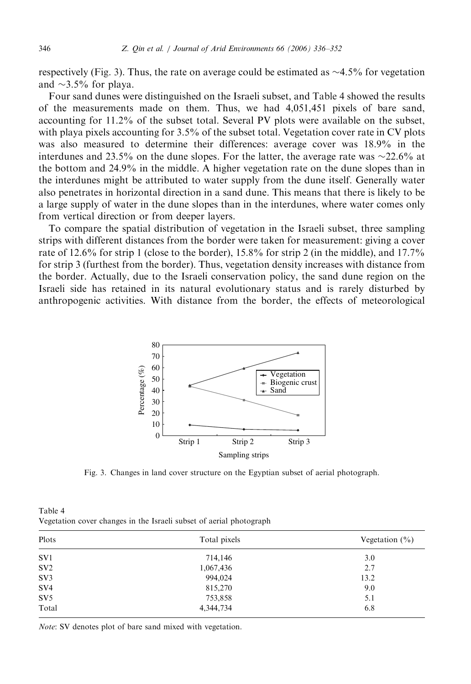respectively (Fig. 3). Thus, the rate on average could be estimated as  $\sim$  4.5% for vegetation and  $\sim$ 3.5% for playa.

Four sand dunes were distinguished on the Israeli subset, and Table 4 showed the results of the measurements made on them. Thus, we had 4,051,451 pixels of bare sand, accounting for 11.2% of the subset total. Several PV plots were available on the subset, with playa pixels accounting for 3.5% of the subset total. Vegetation cover rate in CV plots was also measured to determine their differences: average cover was 18.9% in the interdunes and 23.5% on the dune slopes. For the latter, the average rate was  $\sim$ 22.6% at the bottom and 24.9% in the middle. A higher vegetation rate on the dune slopes than in the interdunes might be attributed to water supply from the dune itself. Generally water also penetrates in horizontal direction in a sand dune. This means that there is likely to be a large supply of water in the dune slopes than in the interdunes, where water comes only from vertical direction or from deeper layers.

To compare the spatial distribution of vegetation in the Israeli subset, three sampling strips with different distances from the border were taken for measurement: giving a cover rate of 12.6% for strip 1 (close to the border), 15.8% for strip 2 (in the middle), and 17.7% for strip 3 (furthest from the border). Thus, vegetation density increases with distance from the border. Actually, due to the Israeli conservation policy, the sand dune region on the Israeli side has retained in its natural evolutionary status and is rarely disturbed by anthropogenic activities. With distance from the border, the effects of meteorological



Fig. 3. Changes in land cover structure on the Egyptian subset of aerial photograph.

| Table 4                                                             |  |  |  |  |  |
|---------------------------------------------------------------------|--|--|--|--|--|
| Vegetation cover changes in the Israeli subset of aerial photograph |  |  |  |  |  |

| Plots           | Total pixels | Vegetation $(\% )$ |  |  |
|-----------------|--------------|--------------------|--|--|
| SV1             | 714,146      | 3.0                |  |  |
| SV <sub>2</sub> | 1,067,436    | 2.7                |  |  |
| SV3             | 994,024      | 13.2               |  |  |
| SV4             | 815,270      | 9.0                |  |  |
| SV <sub>5</sub> | 753,858      | 5.1                |  |  |
| Total           | 4,344,734    | 6.8                |  |  |

*Note*: SV denotes plot of bare sand mixed with vegetation.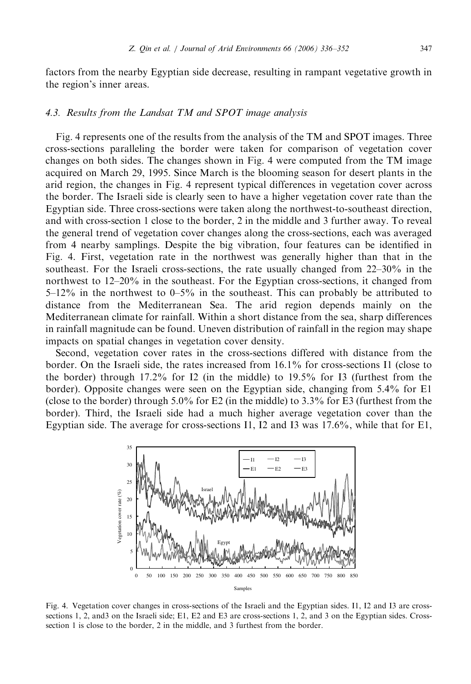factors from the nearby Egyptian side decrease, resulting in rampant vegetative growth in the region's inner areas.

# *4.3. Results from the Landsat TM and SPOT image analysis*

Fig. 4 represents one of the results from the analysis of the TM and SPOT images. Three cross-sections paralleling the border were taken for comparison of vegetation cover changes on both sides. The changes shown in Fig. 4 were computed from the TM image acquired on March 29, 1995. Since March is the blooming season for desert plants in the arid region, the changes in Fig. 4 represent typical differences in vegetation cover across the border. The Israeli side is clearly seen to have a higher vegetation cover rate than the Egyptian side. Three cross-sections were taken along the northwest-to-southeast direction, and with cross-section 1 close to the border, 2 in the middle and 3 further away. To reveal the general trend of vegetation cover changes along the cross-sections, each was averaged from 4 nearby samplings. Despite the big vibration, four features can be identified in Fig. 4. First, vegetation rate in the northwest was generally higher than that in the southeast. For the Israeli cross-sections, the rate usually changed from 22–30% in the northwest to 12–20% in the southeast. For the Egyptian cross-sections, it changed from  $5-12\%$  in the northwest to  $0-5\%$  in the southeast. This can probably be attributed to distance from the Mediterranean Sea. The arid region depends mainly on the Mediterranean climate for rainfall. Within a short distance from the sea, sharp differences in rainfall magnitude can be found. Uneven distribution of rainfall in the region may shape impacts on spatial changes in vegetation cover density.

Second, vegetation cover rates in the cross-sections differed with distance from the border. On the Israeli side, the rates increased from 16.1% for cross-sections I1 (close to the border) through 17.2% for I2 (in the middle) to 19.5% for I3 (furthest from the border). Opposite changes were seen on the Egyptian side, changing from 5.4% for E1 (close to the border) through 5.0% for E2 (in the middle) to 3.3% for E3 (furthest from the border). Third, the Israeli side had a much higher average vegetation cover than the Egyptian side. The average for cross-sections I1, I2 and I3 was 17.6%, while that for E1,



Fig. 4. Vegetation cover changes in cross-sections of the Israeli and the Egyptian sides. I1, I2 and I3 are crosssections 1, 2, and 3 on the Israeli side; E1, E2 and E3 are cross-sections 1, 2, and 3 on the Egyptian sides. Crosssection 1 is close to the border, 2 in the middle, and 3 furthest from the border.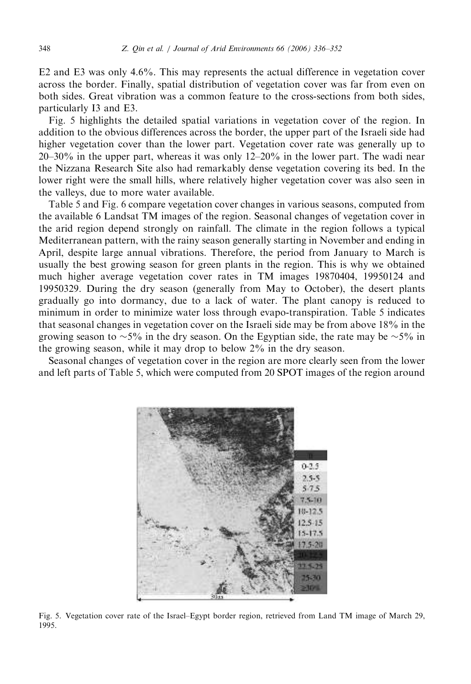E2 and E3 was only 4.6%. This may represents the actual difference in vegetation cover across the border. Finally, spatial distribution of vegetation cover was far from even on both sides. Great vibration was a common feature to the cross-sections from both sides, particularly I3 and E3.

Fig. 5 highlights the detailed spatial variations in vegetation cover of the region. In addition to the obvious differences across the border, the upper part of the Israeli side had higher vegetation cover than the lower part. Vegetation cover rate was generally up to 20–30% in the upper part, whereas it was only 12–20% in the lower part. The wadi near the Nizzana Research Site also had remarkably dense vegetation covering its bed. In the lower right were the small hills, where relatively higher vegetation cover was also seen in the valleys, due to more water available.

Table 5 and Fig. 6 compare vegetation cover changes in various seasons, computed from the available 6 Landsat TM images of the region. Seasonal changes of vegetation cover in the arid region depend strongly on rainfall. The climate in the region follows a typical Mediterranean pattern, with the rainy season generally starting in November and ending in April, despite large annual vibrations. Therefore, the period from January to March is usually the best growing season for green plants in the region. This is why we obtained much higher average vegetation cover rates in TM images 19870404, 19950124 and 19950329. During the dry season (generally from May to October), the desert plants gradually go into dormancy, due to a lack of water. The plant canopy is reduced to minimum in order to minimize water loss through evapo-transpiration. Table 5 indicates that seasonal changes in vegetation cover on the Israeli side may be from above 18% in the growing season to  $\sim$  5% in the dry season. On the Egyptian side, the rate may be  $\sim$  5% in the growing season, while it may drop to below 2% in the dry season.

Seasonal changes of vegetation cover in the region are more clearly seen from the lower and left parts of Table 5, which were computed from 20 SPOT images of the region around



Fig. 5. Vegetation cover rate of the Israel–Egypt border region, retrieved from Land TM image of March 29, 1995.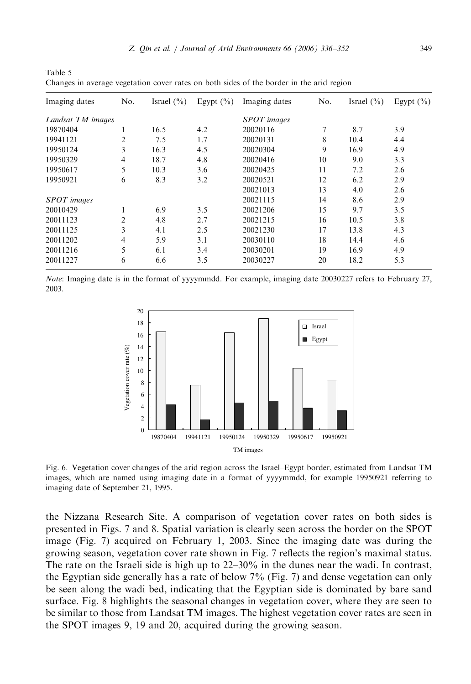| Imaging dates      | No.            | Israel $(\% )$ | Egypt $(\% )$ | Imaging dates      | No. | Israel $(\% )$ | Egypt $(\% )$ |
|--------------------|----------------|----------------|---------------|--------------------|-----|----------------|---------------|
| Landsat TM images  |                |                |               | <b>SPOT</b> images |     |                |               |
| 19870404           |                | 16.5           | 4.2           | 20020116           | 7   | 8.7            | 3.9           |
| 19941121           | $\overline{2}$ | 7.5            | 1.7           | 20020131           | 8   | 10.4           | 4.4           |
| 19950124           | 3              | 16.3           | 4.5           | 20020304           | 9   | 16.9           | 4.9           |
| 19950329           | 4              | 18.7           | 4.8           | 20020416           | 10  | 9.0            | 3.3           |
| 19950617           | 5              | 10.3           | 3.6           | 20020425           | 11  | 7.2            | 2.6           |
| 19950921           | 6              | 8.3            | 3.2           | 20020521           | 12  | 6.2            | 2.9           |
|                    |                |                |               | 20021013           | 13  | 4.0            | 2.6           |
| <b>SPOT</b> images |                |                |               | 20021115           | 14  | 8.6            | 2.9           |
| 20010429           |                | 6.9            | 3.5           | 20021206           | 15  | 9.7            | 3.5           |
| 20011123           | $\overline{2}$ | 4.8            | 2.7           | 20021215           | 16  | 10.5           | 3.8           |
| 20011125           | 3              | 4.1            | 2.5           | 20021230           | 17  | 13.8           | 4.3           |
| 20011202           | 4              | 5.9            | 3.1           | 20030110           | 18  | 14.4           | 4.6           |
| 20011216           | 5              | 6.1            | 3.4           | 20030201           | 19  | 16.9           | 4.9           |
| 20011227           | 6              | 6.6            | 3.5           | 20030227           | 20  | 18.2           | 5.3           |

Table 5 Changes in average vegetation cover rates on both sides of the border in the arid region

*Note*: Imaging date is in the format of yyyymmdd. For example, imaging date 20030227 refers to February 27, 2003.



Fig. 6. Vegetation cover changes of the arid region across the Israel–Egypt border, estimated from Landsat TM images, which are named using imaging date in a format of yyyymmdd, for example 19950921 referring to imaging date of September 21, 1995.

the Nizzana Research Site. A comparison of vegetation cover rates on both sides is presented in Figs. 7 and 8. Spatial variation is clearly seen across the border on the SPOT image (Fig. 7) acquired on February 1, 2003. Since the imaging date was during the growing season, vegetation cover rate shown in Fig. 7 reflects the region's maximal status. The rate on the Israeli side is high up to 22–30% in the dunes near the wadi. In contrast, the Egyptian side generally has a rate of below 7% (Fig. 7) and dense vegetation can only be seen along the wadi bed, indicating that the Egyptian side is dominated by bare sand surface. Fig. 8 highlights the seasonal changes in vegetation cover, where they are seen to be similar to those from Landsat TM images. The highest vegetation cover rates are seen in the SPOT images 9, 19 and 20, acquired during the growing season.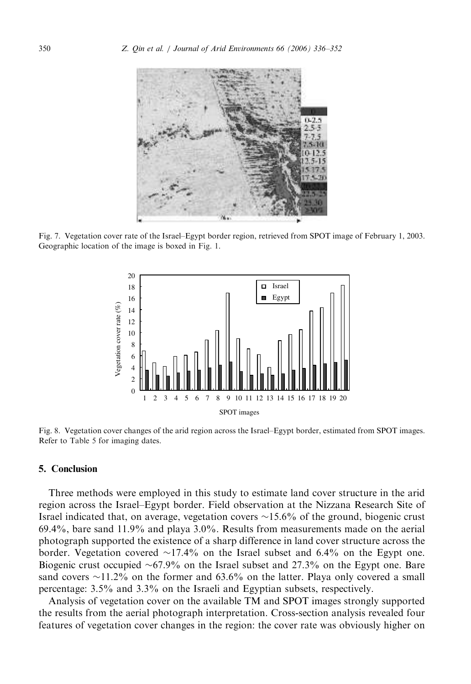

Fig. 7. Vegetation cover rate of the Israel–Egypt border region, retrieved from SPOT image of February 1, 2003. Geographic location of the image is boxed in Fig. 1.



Fig. 8. Vegetation cover changes of the arid region across the Israel–Egypt border, estimated from SPOT images. Refer to Table 5 for imaging dates.

## 5. Conclusion

Three methods were employed in this study to estimate land cover structure in the arid region across the Israel–Egypt border. Field observation at the Nizzana Research Site of Israel indicated that, on average, vegetation covers  $\sim$  15.6% of the ground, biogenic crust 69.4%, bare sand 11.9% and playa 3.0%. Results from measurements made on the aerial photograph supported the existence of a sharp difference in land cover structure across the border. Vegetation covered  $\sim$ 17.4% on the Israel subset and 6.4% on the Egypt one. Biogenic crust occupied  $\sim 67.9\%$  on the Israel subset and 27.3% on the Egypt one. Bare sand covers  $\sim$ 11.2% on the former and 63.6% on the latter. Playa only covered a small percentage: 3.5% and 3.3% on the Israeli and Egyptian subsets, respectively.

Analysis of vegetation cover on the available TM and SPOT images strongly supported the results from the aerial photograph interpretation. Cross-section analysis revealed four features of vegetation cover changes in the region: the cover rate was obviously higher on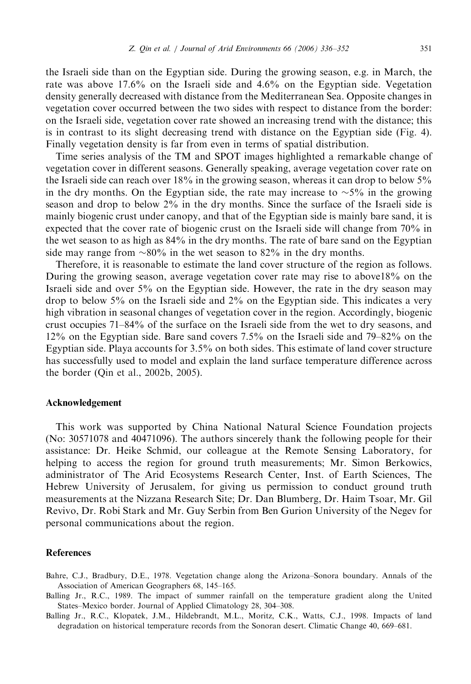the Israeli side than on the Egyptian side. During the growing season, e.g. in March, the rate was above 17.6% on the Israeli side and 4.6% on the Egyptian side. Vegetation density generally decreased with distance from the Mediterranean Sea. Opposite changes in vegetation cover occurred between the two sides with respect to distance from the border: on the Israeli side, vegetation cover rate showed an increasing trend with the distance; this is in contrast to its slight decreasing trend with distance on the Egyptian side (Fig. 4). Finally vegetation density is far from even in terms of spatial distribution.

Time series analysis of the TM and SPOT images highlighted a remarkable change of vegetation cover in different seasons. Generally speaking, average vegetation cover rate on the Israeli side can reach over 18% in the growing season, whereas it can drop to below 5% in the dry months. On the Egyptian side, the rate may increase to  $\sim$ 5% in the growing season and drop to below 2% in the dry months. Since the surface of the Israeli side is mainly biogenic crust under canopy, and that of the Egyptian side is mainly bare sand, it is expected that the cover rate of biogenic crust on the Israeli side will change from 70% in the wet season to as high as 84% in the dry months. The rate of bare sand on the Egyptian side may range from  $\sim 80\%$  in the wet season to 82% in the dry months.

Therefore, it is reasonable to estimate the land cover structure of the region as follows. During the growing season, average vegetation cover rate may rise to above18% on the Israeli side and over 5% on the Egyptian side. However, the rate in the dry season may drop to below 5% on the Israeli side and  $2\%$  on the Egyptian side. This indicates a very high vibration in seasonal changes of vegetation cover in the region. Accordingly, biogenic crust occupies 71–84% of the surface on the Israeli side from the wet to dry seasons, and 12% on the Egyptian side. Bare sand covers 7.5% on the Israeli side and 79–82% on the Egyptian side. Playa accounts for 3.5% on both sides. This estimate of land cover structure has successfully used to model and explain the land surface temperature difference across the border (Qin et al., 2002b, 2005).

## Acknowledgement

This work was supported by China National Natural Science Foundation projects (No: 30571078 and 40471096). The authors sincerely thank the following people for their assistance: Dr. Heike Schmid, our colleague at the Remote Sensing Laboratory, for helping to access the region for ground truth measurements; Mr. Simon Berkowics, administrator of The Arid Ecosystems Research Center, Inst. of Earth Sciences, The Hebrew University of Jerusalem, for giving us permission to conduct ground truth measurements at the Nizzana Research Site; Dr. Dan Blumberg, Dr. Haim Tsoar, Mr. Gil Revivo, Dr. Robi Stark and Mr. Guy Serbin from Ben Gurion University of the Negev for personal communications about the region.

#### References

Bahre, C.J., Bradbury, D.E., 1978. Vegetation change along the Arizona–Sonora boundary. Annals of the Association of American Geographers 68, 145–165.

Balling Jr., R.C., 1989. The impact of summer rainfall on the temperature gradient along the United States–Mexico border. Journal of Applied Climatology 28, 304–308.

Balling Jr., R.C., Klopatek, J.M., Hildebrandt, M.L., Moritz, C.K., Watts, C.J., 1998. Impacts of land degradation on historical temperature records from the Sonoran desert. Climatic Change 40, 669–681.